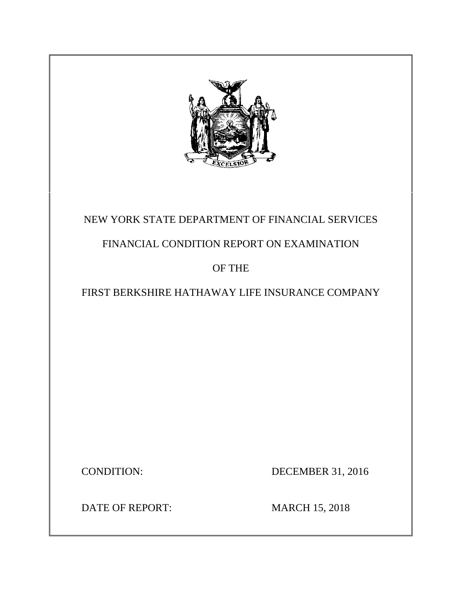

# NEW YORK STATE DEPARTMENT OF FINANCIAL SERVICES

# FINANCIAL CONDITION REPORT ON EXAMINATION

# OF THE

# FIRST BERKSHIRE HATHAWAY LIFE INSURANCE COMPANY

CONDITION: DECEMBER 31, 2016

DATE OF REPORT: MARCH 15, 2018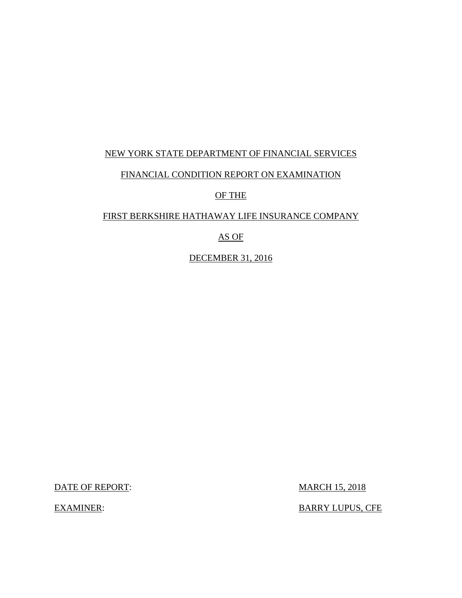# NEW YORK STATE DEPARTMENT OF FINANCIAL SERVICES

### FINANCIAL CONDITION REPORT ON EXAMINATION

### OF THE

### FIRST BERKSHIRE HATHAWAY LIFE INSURANCE COMPANY

### AS OF

DECEMBER 31, 2016

DATE OF REPORT: MARCH 15, 2018

EXAMINER: BARRY LUPUS, CFE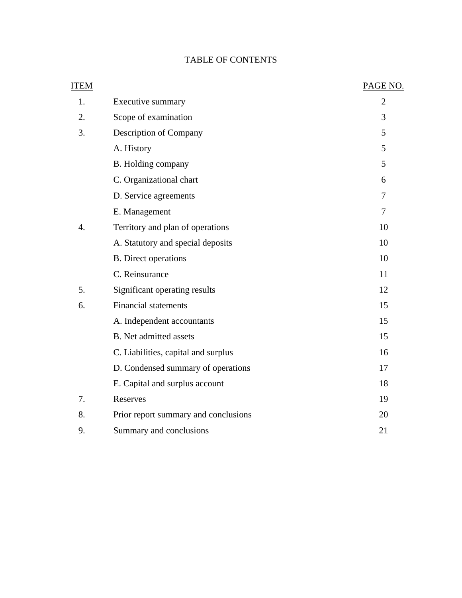# TABLE OF CONTENTS

| <b>ITEM</b> |                                      | PAGE NO.       |
|-------------|--------------------------------------|----------------|
| 1.          | Executive summary                    | $\overline{2}$ |
| 2.          | Scope of examination                 | 3              |
| 3.          | Description of Company               | 5              |
|             | A. History                           | 5              |
|             | B. Holding company                   | 5              |
|             | C. Organizational chart              | 6              |
|             | D. Service agreements                | 7              |
|             | E. Management                        | 7              |
| 4.          | Territory and plan of operations     | 10             |
|             | A. Statutory and special deposits    | 10             |
|             | <b>B.</b> Direct operations          | 10             |
|             | C. Reinsurance                       | 11             |
| 5.          | Significant operating results        | 12             |
| 6.          | <b>Financial statements</b>          | 15             |
|             | A. Independent accountants           | 15             |
|             | <b>B.</b> Net admitted assets        | 15             |
|             | C. Liabilities, capital and surplus  | 16             |
|             | D. Condensed summary of operations   | 17             |
|             | E. Capital and surplus account       | 18             |
| 7.          | Reserves                             | 19             |
| 8.          | Prior report summary and conclusions | 20             |
| 9.          | Summary and conclusions              | 21             |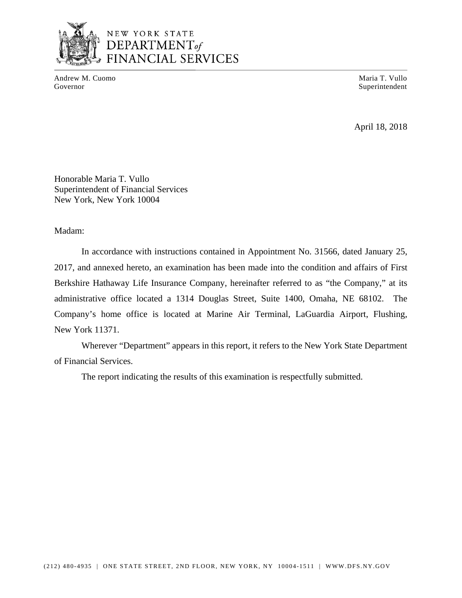

Andrew M. Cuomo **Maria T. Vullo** Maria T. Vullo Governor Superintendent Superintendent Superintendent Superintendent Superintendent Superintendent Superintendent Superintendent Superintendent Superintendent Superintendent Superintendent Superintendent Superintendent Sup

April 18, 2018

Honorable Maria T. Vullo Superintendent of Financial Services New York, New York 10004

Madam:

In accordance with instructions contained in Appointment No. 31566, dated January 25, 2017, and annexed hereto, an examination has been made into the condition and affairs of First Berkshire Hathaway Life Insurance Company, hereinafter referred to as "the Company," at its administrative office located a 1314 Douglas Street, Suite 1400, Omaha, NE 68102. The Company's home office is located at Marine Air Terminal, LaGuardia Airport, Flushing, New York 11371.

Wherever "Department" appears in this report, it refers to the New York State Department of Financial Services.

The report indicating the results of this examination is respectfully submitted.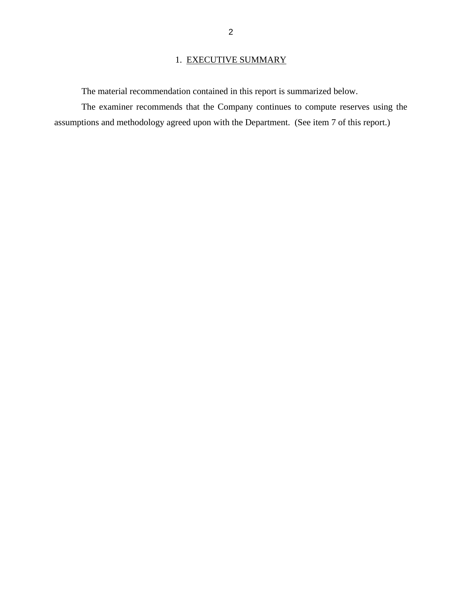# 1. EXECUTIVE SUMMARY

The material recommendation contained in this report is summarized below.

The examiner recommends that the Company continues to compute reserves using the assumptions and methodology agreed upon with the Department. (See item 7 of this report.)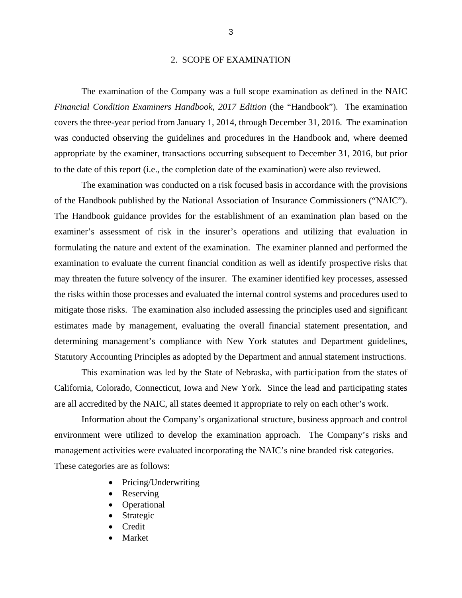#### 2. SCOPE OF EXAMINATION

The examination of the Company was a full scope examination as defined in the NAIC *Financial Condition Examiners Handbook, 2017 Edition* (the "Handbook"). The examination covers the three-year period from January 1, 2014, through December 31, 2016. The examination was conducted observing the guidelines and procedures in the Handbook and, where deemed appropriate by the examiner, transactions occurring subsequent to December 31, 2016, but prior to the date of this report (i.e., the completion date of the examination) were also reviewed.

The examination was conducted on a risk focused basis in accordance with the provisions of the Handbook published by the National Association of Insurance Commissioners ("NAIC"). The Handbook guidance provides for the establishment of an examination plan based on the examiner's assessment of risk in the insurer's operations and utilizing that evaluation in formulating the nature and extent of the examination. The examiner planned and performed the examination to evaluate the current financial condition as well as identify prospective risks that may threaten the future solvency of the insurer. The examiner identified key processes, assessed the risks within those processes and evaluated the internal control systems and procedures used to mitigate those risks. The examination also included assessing the principles used and significant estimates made by management, evaluating the overall financial statement presentation, and determining management's compliance with New York statutes and Department guidelines, Statutory Accounting Principles as adopted by the Department and annual statement instructions.

This examination was led by the State of Nebraska, with participation from the states of California, Colorado, Connecticut, Iowa and New York. Since the lead and participating states are all accredited by the NAIC, all states deemed it appropriate to rely on each other's work.

Information about the Company's organizational structure, business approach and control environment were utilized to develop the examination approach. The Company's risks and management activities were evaluated incorporating the NAIC's nine branded risk categories. These categories are as follows:

- Pricing/Underwriting
- Reserving
- Operational
- Strategic
- **Credit**
- Market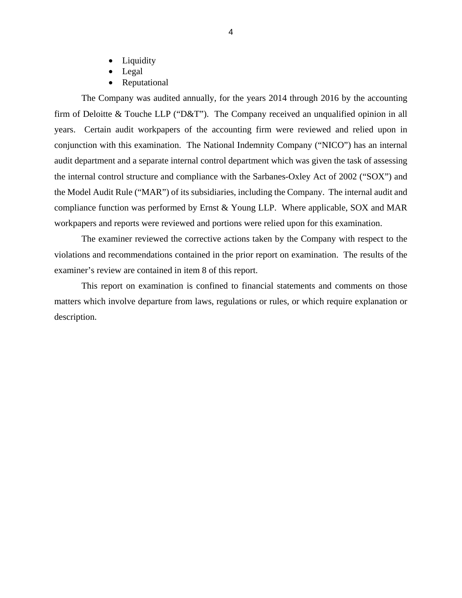- Liquidity
- Legal
- Reputational

compliance function was performed by Ernst & Young LLP. Where applicable, SOX and MAR The Company was audited annually, for the years 2014 through 2016 by the accounting firm of Deloitte & Touche LLP ("D&T"). The Company received an unqualified opinion in all years. Certain audit workpapers of the accounting firm were reviewed and relied upon in conjunction with this examination. The National Indemnity Company ("NICO") has an internal audit department and a separate internal control department which was given the task of assessing the internal control structure and compliance with the Sarbanes-Oxley Act of 2002 ("SOX") and the Model Audit Rule ("MAR") of its subsidiaries, including the Company. The internal audit and workpapers and reports were reviewed and portions were relied upon for this examination.

The examiner reviewed the corrective actions taken by the Company with respect to the violations and recommendations contained in the prior report on examination. The results of the examiner's review are contained in item 8 of this report.

This report on examination is confined to financial statements and comments on those matters which involve departure from laws, regulations or rules, or which require explanation or description.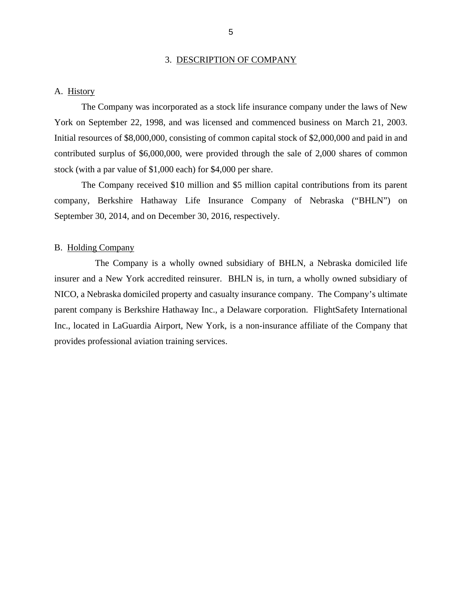#### 3. DESCRIPTION OF COMPANY

#### <span id="page-7-0"></span>A. History

The Company was incorporated as a stock life insurance company under the laws of New York on September 22, 1998, and was licensed and commenced business on March 21, 2003. Initial resources of \$8,000,000, consisting of common capital stock of \$2,000,000 and paid in and contributed surplus of \$6,000,000, were provided through the sale of 2,000 shares of common stock (with a par value of \$1,000 each) for \$4,000 per share.

The Company received \$10 million and \$5 million capital contributions from its parent company, Berkshire Hathaway Life Insurance Company of Nebraska ("BHLN") on September 30, 2014, and on December 30, 2016, respectively.

#### B. Holding Company

The Company is a wholly owned subsidiary of BHLN, a Nebraska domiciled life insurer and a New York accredited reinsurer. BHLN is, in turn, a wholly owned subsidiary of NICO, a Nebraska domiciled property and casualty insurance company. The Company's ultimate parent company is Berkshire Hathaway Inc., a Delaware corporation. FlightSafety International Inc., located in LaGuardia Airport, New York, is a non-insurance affiliate of the Company that provides professional aviation training services.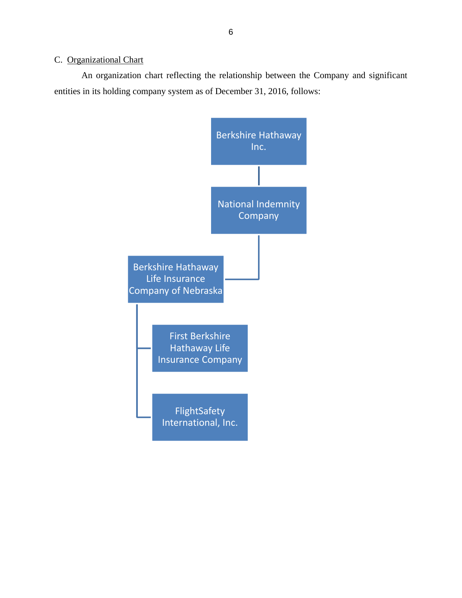# <span id="page-8-0"></span>C. Organizational Chart

An organization chart reflecting the relationship between the Company and significant entities in its holding company system as of December 31, 2016, follows:

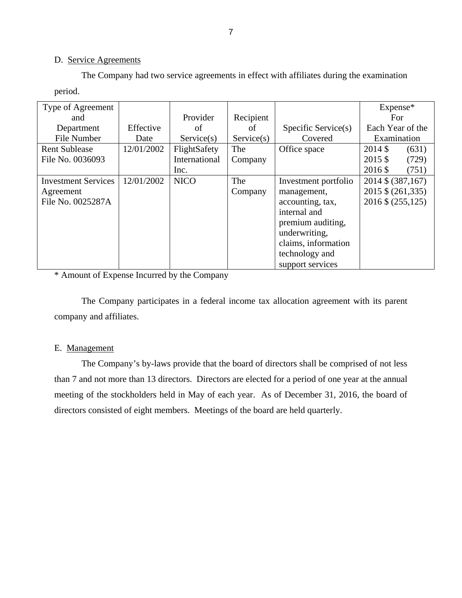#### D. Service Agreements

The Company had two service agreements in effect with affiliates during the examination period.

| Type of Agreement          |            |               |            |                      | Expense*           |
|----------------------------|------------|---------------|------------|----------------------|--------------------|
| and                        |            | Provider      | Recipient  |                      | For.               |
| Department                 | Effective  | of            | of         | Specific Service(s)  | Each Year of the   |
| File Number                | Date       | Service(s)    | Service(s) | Covered              | Examination        |
| <b>Rent Sublease</b>       | 12/01/2002 | FlightSafety  | The        | Office space         | $2014$ \$<br>(631) |
| File No. 0036093           |            | International | Company    |                      | 2015 \$<br>(729)   |
|                            |            | Inc.          |            |                      | 2016 \$<br>(751)   |
| <b>Investment Services</b> | 12/01/2002 | <b>NICO</b>   | The        | Investment portfolio | 2014 \$ (387,167)  |
| Agreement                  |            |               | Company    | management,          | 2015 \$ (261,335)  |
| File No. 0025287A          |            |               |            | accounting, tax,     | 2016 \$ (255,125)  |
|                            |            |               |            | internal and         |                    |
|                            |            |               |            | premium auditing,    |                    |
|                            |            |               |            | underwriting,        |                    |
|                            |            |               |            | claims, information  |                    |
|                            |            |               |            | technology and       |                    |
|                            |            |               |            | support services     |                    |

\* Amount of Expense Incurred by the Company

The Company participates in a federal income tax allocation agreement with its parent company and affiliates.

### E. Management

The Company's by-laws provide that the board of directors shall be comprised of not less than 7 and not more than 13 directors. Directors are elected for a period of one year at the annual meeting of the stockholders held in May of each year. As of December 31, 2016, the board of directors consisted of eight members. Meetings of the board are held quarterly.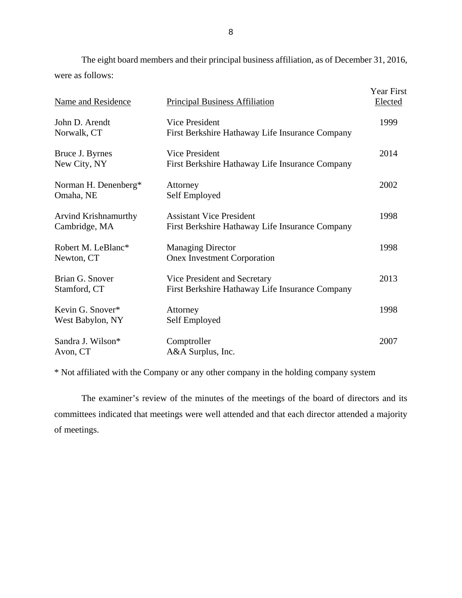The eight board members and their principal business affiliation, as of December 31, 2016, were as follows:

| Name and Residence                    | <b>Principal Business Affiliation</b>                                              | <b>Year First</b><br>Elected |
|---------------------------------------|------------------------------------------------------------------------------------|------------------------------|
| John D. Arendt<br>Norwalk, CT         | Vice President<br>First Berkshire Hathaway Life Insurance Company                  | 1999                         |
| Bruce J. Byrnes<br>New City, NY       | <b>Vice President</b><br>First Berkshire Hathaway Life Insurance Company           | 2014                         |
| Norman H. Denenberg*<br>Omaha, NE     | Attorney<br>Self Employed                                                          | 2002                         |
| Arvind Krishnamurthy<br>Cambridge, MA | <b>Assistant Vice President</b><br>First Berkshire Hathaway Life Insurance Company | 1998                         |
| Robert M. LeBlanc*<br>Newton, CT      | <b>Managing Director</b><br><b>Onex Investment Corporation</b>                     | 1998                         |
| Brian G. Snover<br>Stamford, CT       | Vice President and Secretary<br>First Berkshire Hathaway Life Insurance Company    | 2013                         |
| Kevin G. Snover*<br>West Babylon, NY  | Attorney<br>Self Employed                                                          | 1998                         |
| Sandra J. Wilson*<br>Avon, CT         | Comptroller<br>A&A Surplus, Inc.                                                   | 2007                         |

\* Not affiliated with the Company or any other company in the holding company system

The examiner's review of the minutes of the meetings of the board of directors and its committees indicated that meetings were well attended and that each director attended a majority of meetings.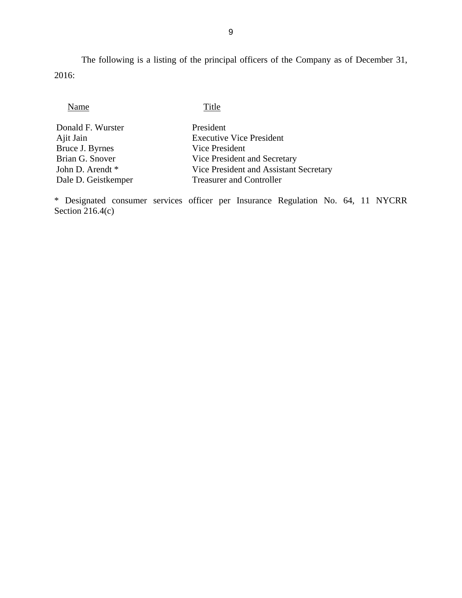The following is a listing of the principal officers of the Company as of December 31, 2016:

| Name                | Title                                  |
|---------------------|----------------------------------------|
| Donald F. Wurster   | President                              |
| Ajit Jain           | <b>Executive Vice President</b>        |
| Bruce J. Byrnes     | Vice President                         |
| Brian G. Snover     | Vice President and Secretary           |
| John D. Arendt *    | Vice President and Assistant Secretary |
| Dale D. Geistkemper | <b>Treasurer and Controller</b>        |

\* Designated consumer services officer per Insurance Regulation No. 64, 11 NYCRR Section 216.4(c)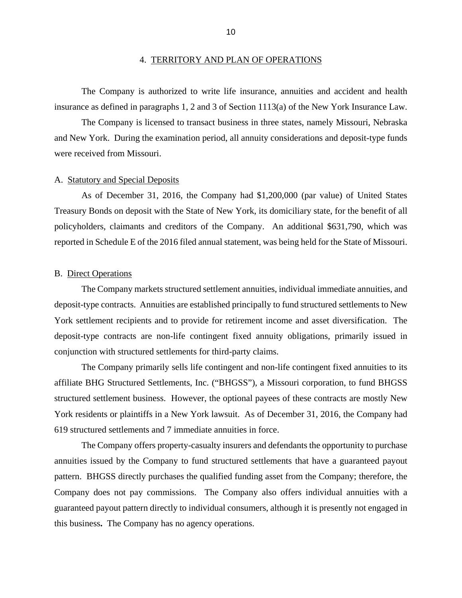<span id="page-12-0"></span>The Company is authorized to write life insurance, annuities and accident and health insurance as defined in paragraphs 1, 2 and 3 of Section 1113(a) of the New York Insurance Law.

The Company is licensed to transact business in three states, namely Missouri, Nebraska and New York. During the examination period, all annuity considerations and deposit-type funds were received from Missouri.

#### A. Statutory and Special Deposits

As of December 31, 2016, the Company had \$1,200,000 (par value) of United States Treasury Bonds on deposit with the State of New York, its domiciliary state, for the benefit of all policyholders, claimants and creditors of the Company. An additional \$631,790, which was reported in Schedule E of the 2016 filed annual statement, was being held for the State of Missouri.

#### B. Direct Operations

The Company markets structured settlement annuities, individual immediate annuities, and deposit-type contracts. Annuities are established principally to fund structured settlements to New York settlement recipients and to provide for retirement income and asset diversification. The deposit-type contracts are non-life contingent fixed annuity obligations, primarily issued in conjunction with structured settlements for third-party claims.

The Company primarily sells life contingent and non-life contingent fixed annuities to its affiliate BHG Structured Settlements, Inc. ("BHGSS"), a Missouri corporation, to fund BHGSS structured settlement business. However, the optional payees of these contracts are mostly New York residents or plaintiffs in a New York lawsuit. As of December 31, 2016, the Company had 619 structured settlements and 7 immediate annuities in force.

The Company offers property-casualty insurers and defendants the opportunity to purchase annuities issued by the Company to fund structured settlements that have a guaranteed payout pattern. BHGSS directly purchases the qualified funding asset from the Company; therefore, the Company does not pay commissions. The Company also offers individual annuities with a guaranteed payout pattern directly to individual consumers, although it is presently not engaged in this business**.** The Company has no agency operations.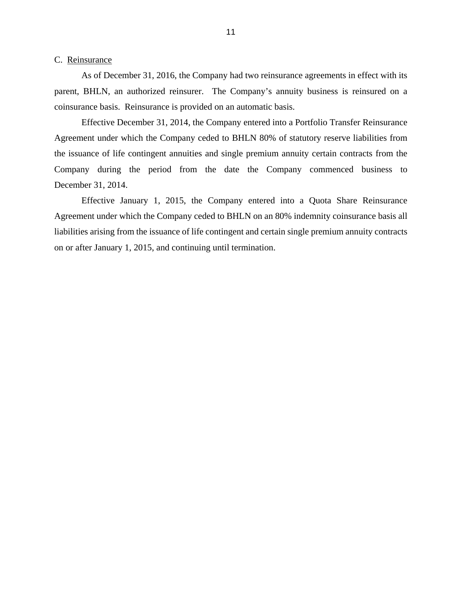#### <span id="page-13-0"></span>C. Reinsurance

As of December 31, 2016, the Company had two reinsurance agreements in effect with its parent, BHLN, an authorized reinsurer. The Company's annuity business is reinsured on a coinsurance basis. Reinsurance is provided on an automatic basis.

 Company during the period from the date the Company commenced business to December 31, 2014. Effective December 31, 2014, the Company entered into a Portfolio Transfer Reinsurance Agreement under which the Company ceded to BHLN 80% of statutory reserve liabilities from the issuance of life contingent annuities and single premium annuity certain contracts from the

Effective January 1, 2015, the Company entered into a Quota Share Reinsurance Agreement under which the Company ceded to BHLN on an 80% indemnity coinsurance basis all liabilities arising from the issuance of life contingent and certain single premium annuity contracts on or after January 1, 2015, and continuing until termination.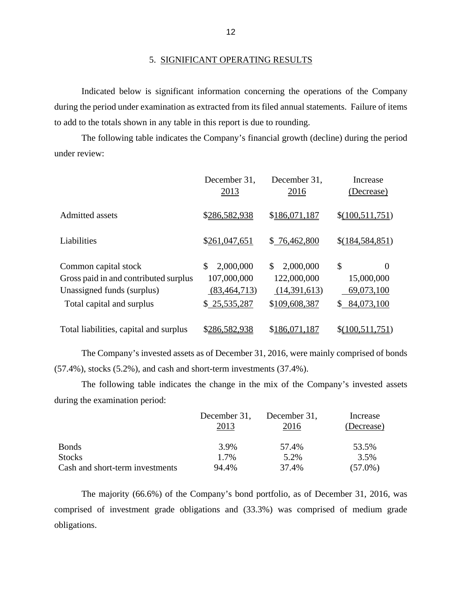#### 5. SIGNIFICANT OPERATING RESULTS

Indicated below is significant information concerning the operations of the Company during the period under examination as extracted from its filed annual statements. Failure of items to add to the totals shown in any table in this report is due to rounding.

The following table indicates the Company's financial growth (decline) during the period under review:

|                                                                                                                          | December 31,<br>2013                                             | December 31,<br>2016                                            | Increase<br>(Decrease)                                         |
|--------------------------------------------------------------------------------------------------------------------------|------------------------------------------------------------------|-----------------------------------------------------------------|----------------------------------------------------------------|
| Admitted assets                                                                                                          | \$286,582,938                                                    | \$186,071,187                                                   | \$(100,511,751)                                                |
| Liabilities                                                                                                              | \$261,047,651                                                    | \$76,462,800                                                    | \$(184,584,851)                                                |
| Common capital stock<br>Gross paid in and contributed surplus<br>Unassigned funds (surplus)<br>Total capital and surplus | 2,000,000<br>\$<br>107,000,000<br>(83, 464, 713)<br>\$25,535,287 | 2,000,000<br>\$<br>122,000,000<br>(14,391,613)<br>\$109,608,387 | \$<br>$\Omega$<br>15,000,000<br>69,073,100<br>84,073,100<br>\$ |
| Total liabilities, capital and surplus                                                                                   | \$286,582,938                                                    | \$186,071,187                                                   | \$(100,511,751)                                                |

The Company's invested assets as of December 31, 2016, were mainly comprised of bonds (57.4%), stocks (5.2%), and cash and short-term investments (37.4%).

The following table indicates the change in the mix of the Company's invested assets during the examination period:

|                                 | December 31, | December 31, | Increase   |
|---------------------------------|--------------|--------------|------------|
|                                 | 2013         | 2016         | (Decrease) |
| <b>Bonds</b>                    | 3.9%         | 57.4%        | 53.5%      |
| <b>Stocks</b>                   | 1.7%         | 5.2%         | 3.5%       |
| Cash and short-term investments | 94.4%        | 37.4%        | $(57.0\%)$ |

The majority (66.6%) of the Company's bond portfolio, as of December 31, 2016, was comprised of investment grade obligations and (33.3%) was comprised of medium grade obligations.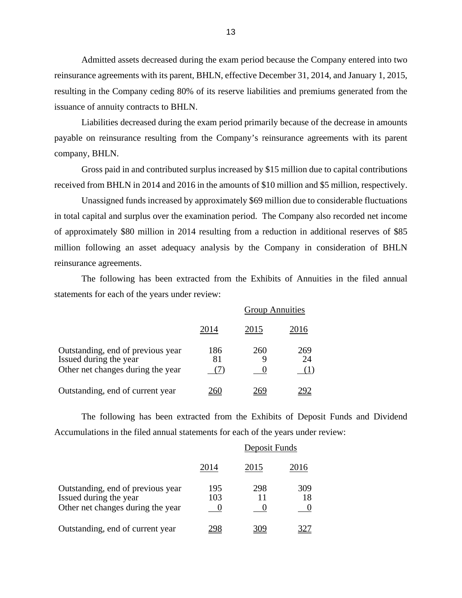Admitted assets decreased during the exam period because the Company entered into two reinsurance agreements with its parent, BHLN, effective December 31, 2014, and January 1, 2015, resulting in the Company ceding 80% of its reserve liabilities and premiums generated from the issuance of annuity contracts to BHLN.

Liabilities decreased during the exam period primarily because of the decrease in amounts payable on reinsurance resulting from the Company's reinsurance agreements with its parent company, BHLN.

Gross paid in and contributed surplus increased by \$15 million due to capital contributions received from BHLN in 2014 and 2016 in the amounts of \$10 million and \$5 million, respectively.

Unassigned funds increased by approximately \$69 million due to considerable fluctuations in total capital and surplus over the examination period. The Company also recorded net income of approximately \$80 million in 2014 resulting from a reduction in additional reserves of \$85 million following an asset adequacy analysis by the Company in consideration of BHLN reinsurance agreements.

The following has been extracted from the Exhibits of Annuities in the filed annual statements for each of the years under review:

|                                                                                                  | <b>Group Annuities</b> |      |           |
|--------------------------------------------------------------------------------------------------|------------------------|------|-----------|
|                                                                                                  | 2014                   | 2015 | 2016      |
| Outstanding, end of previous year<br>Issued during the year<br>Other net changes during the year | 186<br>81              | 260  | 269<br>24 |
| Outstanding, end of current year                                                                 |                        |      |           |

The following has been extracted from the Exhibits of Deposit Funds and Dividend Accumulations in the filed annual statements for each of the years under review:

|                                                                                                  | Deposit Funds |      |           |
|--------------------------------------------------------------------------------------------------|---------------|------|-----------|
|                                                                                                  | 2014          | 2015 | 2016      |
| Outstanding, end of previous year<br>Issued during the year<br>Other net changes during the year | 195<br>103    | 298  | 309<br>18 |
| Outstanding, end of current year                                                                 |               |      |           |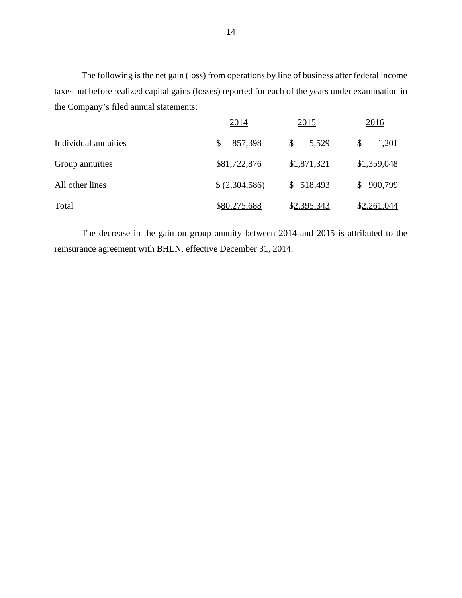The following is the net gain (loss) from operations by line of business after federal income taxes but before realized capital gains (losses) reported for each of the years under examination in the Company's filed annual statements:

|                      | 2014           | 2015        | <u>2016</u> |
|----------------------|----------------|-------------|-------------|
| Individual annuities | 857,398<br>\$  | \$<br>5,529 | \$<br>1,201 |
| Group annuities      | \$81,722,876   | \$1,871,321 | \$1,359,048 |
| All other lines      | \$ (2,304,586) | \$518,493   | \$900,799   |
| Total                | \$80,275,688   | \$2,395,343 | \$2,261,044 |

The decrease in the gain on group annuity between 2014 and 2015 is attributed to the reinsurance agreement with BHLN, effective December 31, 2014.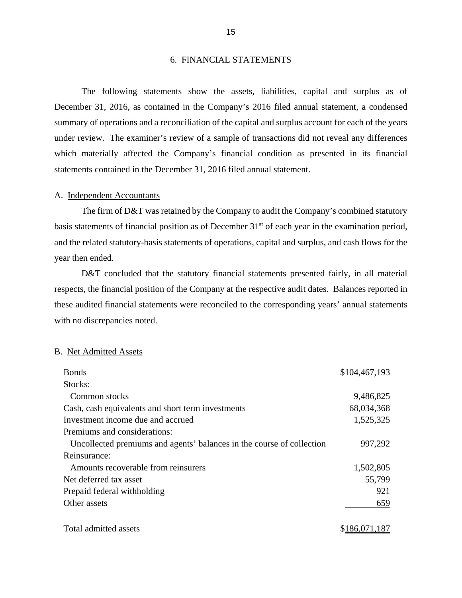#### 6. FINANCIAL STATEMENTS

The following statements show the assets, liabilities, capital and surplus as of December 31, 2016, as contained in the Company's 2016 filed annual statement, a condensed summary of operations and a reconciliation of the capital and surplus account for each of the years under review. The examiner's review of a sample of transactions did not reveal any differences which materially affected the Company's financial condition as presented in its financial statements contained in the December 31, 2016 filed annual statement.

#### A. Independent Accountants

The firm of D&T was retained by the Company to audit the Company's combined statutory basis statements of financial position as of December 31<sup>st</sup> of each year in the examination period, and the related statutory-basis statements of operations, capital and surplus, and cash flows for the year then ended.

D&T concluded that the statutory financial statements presented fairly, in all material respects, the financial position of the Company at the respective audit dates. Balances reported in these audited financial statements were reconciled to the corresponding years' annual statements with no discrepancies noted.

#### B. Net Admitted Assets

| <b>Bonds</b>                                                          | \$104,467,193 |
|-----------------------------------------------------------------------|---------------|
| Stocks:                                                               |               |
| Common stocks                                                         | 9,486,825     |
| Cash, cash equivalents and short term investments                     | 68,034,368    |
| Investment income due and accrued                                     | 1,525,325     |
| Premiums and considerations:                                          |               |
| Uncollected premiums and agents' balances in the course of collection | 997,292       |
| Reinsurance:                                                          |               |
| Amounts recoverable from reinsurers                                   | 1,502,805     |
| Net deferred tax asset                                                | 55,799        |
| Prepaid federal withholding                                           | 921           |
| Other assets                                                          | 659           |
| Total admitted assets                                                 | \$186,071,187 |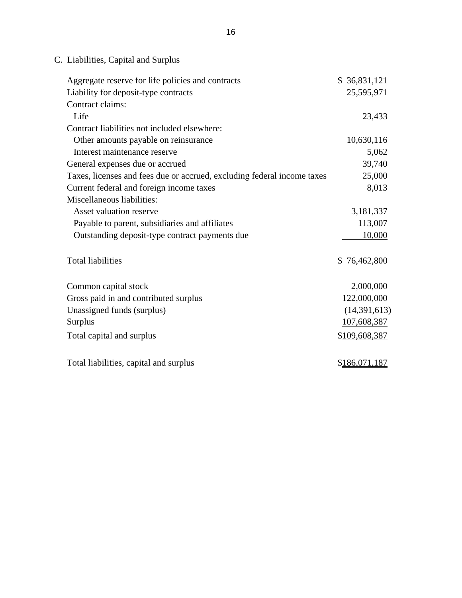# C. Liabilities, Capital and Surplus

| Aggregate reserve for life policies and contracts                       | \$36,831,121  |
|-------------------------------------------------------------------------|---------------|
| Liability for deposit-type contracts                                    | 25,595,971    |
| Contract claims:                                                        |               |
| Life                                                                    | 23,433        |
| Contract liabilities not included elsewhere:                            |               |
| Other amounts payable on reinsurance                                    | 10,630,116    |
| Interest maintenance reserve                                            | 5,062         |
| General expenses due or accrued                                         | 39,740        |
| Taxes, licenses and fees due or accrued, excluding federal income taxes | 25,000        |
| Current federal and foreign income taxes                                | 8,013         |
| Miscellaneous liabilities:                                              |               |
| Asset valuation reserve                                                 | 3,181,337     |
| Payable to parent, subsidiaries and affiliates                          | 113,007       |
| Outstanding deposit-type contract payments due                          | 10,000        |
| <b>Total liabilities</b>                                                | \$ 76,462,800 |
| Common capital stock                                                    | 2,000,000     |
| Gross paid in and contributed surplus                                   | 122,000,000   |
| Unassigned funds (surplus)                                              | (14,391,613)  |
| <b>Surplus</b>                                                          | 107,608,387   |
| Total capital and surplus                                               | \$109,608,387 |
| Total liabilities, capital and surplus                                  | \$186,071,187 |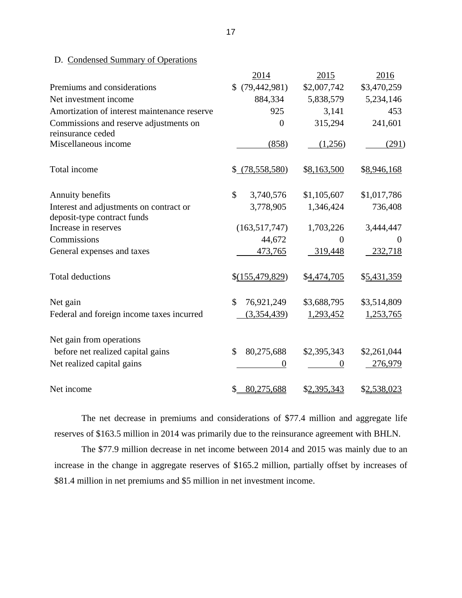# D. Condensed Summary of Operations

|                                                                        | 2014                        | 2015           | 2016        |
|------------------------------------------------------------------------|-----------------------------|----------------|-------------|
| Premiums and considerations                                            | \$(79, 442, 981)            | \$2,007,742    | \$3,470,259 |
| Net investment income                                                  | 884,334                     | 5,838,579      | 5,234,146   |
| Amortization of interest maintenance reserve                           | 925                         | 3,141          | 453         |
| Commissions and reserve adjustments on<br>reinsurance ceded            | $\overline{0}$              | 315,294        | 241,601     |
| Miscellaneous income                                                   | (858)                       | (1,256)        | (291)       |
| Total income                                                           | \$ (78,558,580)             | \$8,163,500    | \$8,946,168 |
| Annuity benefits                                                       | \$<br>3,740,576             | \$1,105,607    | \$1,017,786 |
| Interest and adjustments on contract or<br>deposit-type contract funds | 3,778,905                   | 1,346,424      | 736,408     |
| Increase in reserves                                                   | (163, 517, 747)             | 1,703,226      | 3,444,447   |
| Commissions                                                            | 44,672                      | $\overline{0}$ | $\theta$    |
| General expenses and taxes                                             | 473,765                     | 319,448        | 232,718     |
| <b>Total deductions</b>                                                | \$(155,479,829)             | \$4,474,705    | \$5,431,359 |
| Net gain                                                               | $\mathcal{S}$<br>76,921,249 | \$3,688,795    | \$3,514,809 |
| Federal and foreign income taxes incurred                              | (3,354,439)                 | 1,293,452      | 1,253,765   |
| Net gain from operations                                               |                             |                |             |
| before net realized capital gains                                      | 80,275,688<br>\$            | \$2,395,343    | \$2,261,044 |
| Net realized capital gains                                             | $\boldsymbol{0}$            | 0              | 276,979     |
| Net income                                                             | \$<br>80,275,688            | \$2,395,343    | \$2,538,023 |

The net decrease in premiums and considerations of \$77.4 million and aggregate life reserves of \$163.5 million in 2014 was primarily due to the reinsurance agreement with BHLN.

The \$77.9 million decrease in net income between 2014 and 2015 was mainly due to an increase in the change in aggregate reserves of \$165.2 million, partially offset by increases of \$81.4 million in net premiums and \$5 million in net investment income.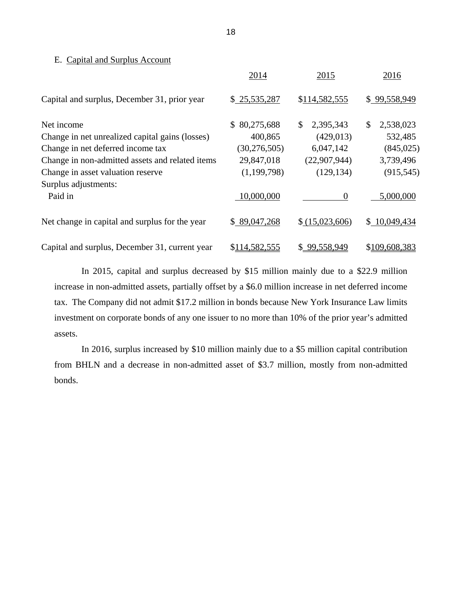#### E. Capital and Surplus Account

|                                                 | 2014             | 2015            | 2016            |
|-------------------------------------------------|------------------|-----------------|-----------------|
| Capital and surplus, December 31, prior year    | \$25,535,287     | \$114,582,555   | \$99,558,949    |
| Net income                                      | 80,275,688<br>\$ | 2,395,343<br>\$ | 2,538,023<br>\$ |
| Change in net unrealized capital gains (losses) | 400,865          | (429, 013)      | 532,485         |
| Change in net deferred income tax               | (30, 276, 505)   | 6,047,142       | (845,025)       |
| Change in non-admitted assets and related items | 29,847,018       | (22,907,944)    | 3,739,496       |
| Change in asset valuation reserve               | (1, 199, 798)    | (129, 134)      | (915, 545)      |
| Surplus adjustments:                            |                  |                 |                 |
| Paid in                                         | 10,000,000       | $\Omega$        | 5,000,000       |
| Net change in capital and surplus for the year  | \$89,047,268     | \$(15,023,606)  | \$10,049,434    |
| Capital and surplus, December 31, current year  | \$114,582,555    | \$99,558,949    | \$109,608,383   |

In 2015, capital and surplus decreased by \$15 million mainly due to a \$22.9 million increase in non-admitted assets, partially offset by a \$6.0 million increase in net deferred income tax. The Company did not admit \$17.2 million in bonds because New York Insurance Law limits investment on corporate bonds of any one issuer to no more than 10% of the prior year's admitted assets.

In 2016, surplus increased by \$10 million mainly due to a \$5 million capital contribution from BHLN and a decrease in non-admitted asset of \$3.7 million, mostly from non-admitted bonds.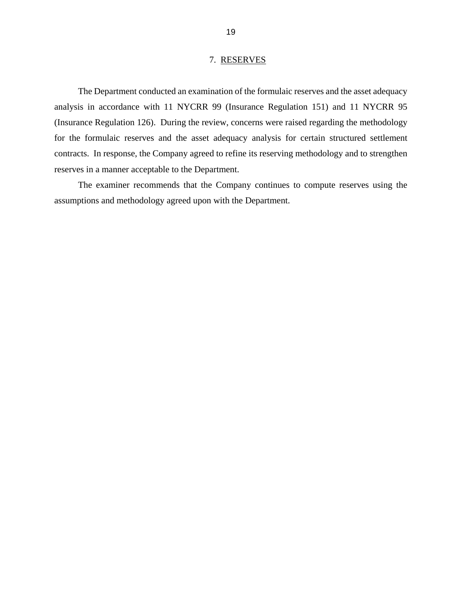#### 7. RESERVES

<span id="page-21-0"></span>The Department conducted an examination of the formulaic reserves and the asset adequacy analysis in accordance with 11 NYCRR 99 (Insurance Regulation 151) and 11 NYCRR 95 (Insurance Regulation 126). During the review, concerns were raised regarding the methodology for the formulaic reserves and the asset adequacy analysis for certain structured settlement contracts. In response, the Company agreed to refine its reserving methodology and to strengthen reserves in a manner acceptable to the Department.

The examiner recommends that the Company continues to compute reserves using the assumptions and methodology agreed upon with the Department.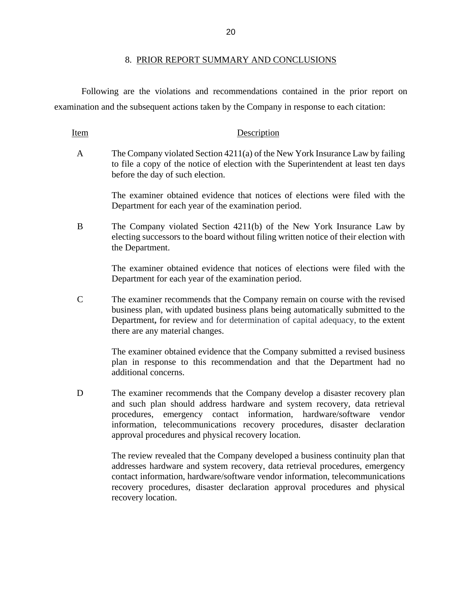#### 8. PRIOR REPORT SUMMARY AND CONCLUSIONS

<span id="page-22-0"></span>Following are the violations and recommendations contained in the prior report on examination and the subsequent actions taken by the Company in response to each citation:

Item Description

A The Company violated Section 4211(a) of the New York Insurance Law by failing to file a copy of the notice of election with the Superintendent at least ten days before the day of such election.

> The examiner obtained evidence that notices of elections were filed with the Department for each year of the examination period.

B The Company violated Section 4211(b) of the New York Insurance Law by electing successors to the board without filing written notice of their election with the Department.

> The examiner obtained evidence that notices of elections were filed with the Department for each year of the examination period.

C The examiner recommends that the Company remain on course with the revised business plan, with updated business plans being automatically submitted to the Department**,** for review and for determination of capital adequacy, to the extent there are any material changes.

> The examiner obtained evidence that the Company submitted a revised business plan in response to this recommendation and that the Department had no additional concerns.

D The examiner recommends that the Company develop a disaster recovery plan and such plan should address hardware and system recovery, data retrieval procedures, emergency contact information, hardware/software vendor information, telecommunications recovery procedures, disaster declaration approval procedures and physical recovery location.

> The review revealed that the Company developed a business continuity plan that addresses hardware and system recovery, data retrieval procedures, emergency contact information, hardware/software vendor information, telecommunications recovery procedures, disaster declaration approval procedures and physical recovery location.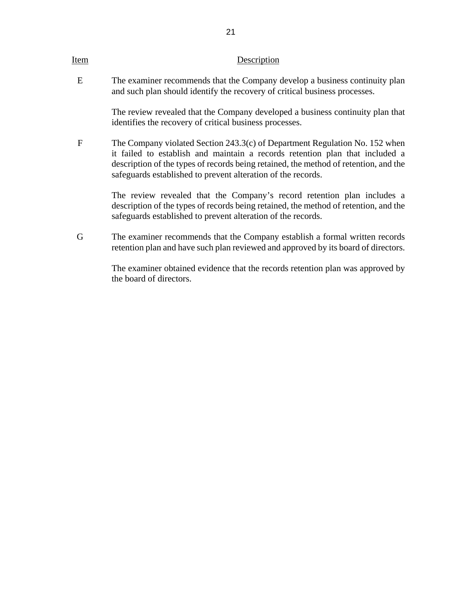<span id="page-23-0"></span>

| Ite <u>m</u> | Description                                                                                                                                                                                                                                                                                                         |
|--------------|---------------------------------------------------------------------------------------------------------------------------------------------------------------------------------------------------------------------------------------------------------------------------------------------------------------------|
| E            | The examiner recommends that the Company develop a business continuity plan<br>and such plan should identify the recovery of critical business processes.                                                                                                                                                           |
|              | The review revealed that the Company developed a business continuity plan that<br>identifies the recovery of critical business processes.                                                                                                                                                                           |
| F            | The Company violated Section 243.3(c) of Department Regulation No. 152 when<br>it failed to establish and maintain a records retention plan that included a<br>description of the types of records being retained, the method of retention, and the<br>safeguards established to prevent alteration of the records. |
|              | The review revealed that the Company's record retention plan includes a<br>description of the types of records being retained, the method of retention, and the<br>safeguards established to prevent alteration of the records.                                                                                     |
| G            | The examiner recommends that the Company establish a formal written records<br>retention plan and have such plan reviewed and approved by its board of directors.                                                                                                                                                   |
|              | The examiner obtained evidence that the records retention plan was approved by<br>the board of directors.                                                                                                                                                                                                           |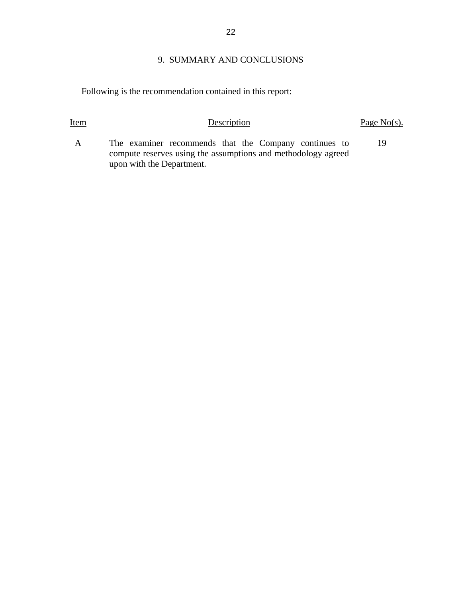# 9. SUMMARY AND CONCLUSIONS

Following is the recommendation contained in this report:

| Item         | Description                                                                                                            | Page $No(s)$ . |
|--------------|------------------------------------------------------------------------------------------------------------------------|----------------|
| $\mathbf{A}$ | The examiner recommends that the Company continues to<br>compute reserves using the assumptions and methodology agreed | 19             |
|              | upon with the Department.                                                                                              |                |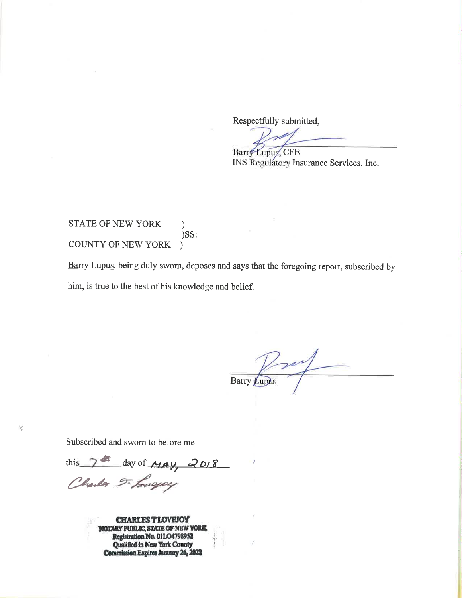Respectfully submitted,

Barry Lupus, CFE

INS Regulatory Insurance Services, Inc.

#### STATE OF NEW YORK  $\mathcal{F}$ )SS: COUNTY OF NEW YORK

Barry Lupus, being duly sworn, deposes and says that the foregoing report, subscribed by him, is true to the best of his knowledge and belief.

Jul Barry

Subscribed and sworn to before me

N.

this 7th day of MAY, 2018

**CHARLEST LOVEJOY NOTARY PUBLIC, STATE OF NEW YORK** Registration No. 01LO4798952<br>Qualified in New York County<br>Commission Expires January 26, 2022